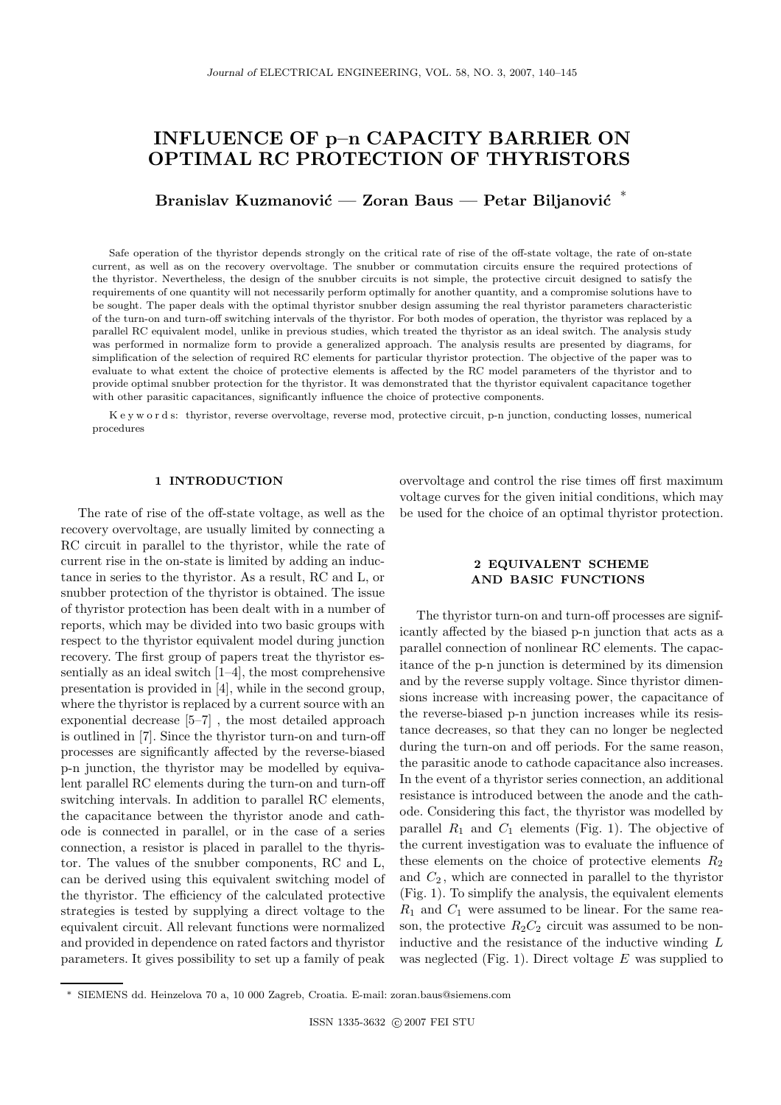# INFLUENCE OF p–n CAPACITY BARRIER ON OPTIMAL RC PROTECTION OF THYRISTORS

Branislav Kuzmanović — Zoran Baus — Petar Biljanović  $*$ 

Safe operation of the thyristor depends strongly on the critical rate of rise of the off-state voltage, the rate of on-state current, as well as on the recovery overvoltage. The snubber or commutation circuits ensure the required protections of the thyristor. Nevertheless, the design of the snubber circuits is not simple, the protective circuit designed to satisfy the requirements of one quantity will not necessarily perform optimally for another quantity, and a compromise solutions have to be sought. The paper deals with the optimal thyristor snubber design assuming the real thyristor parameters characteristic of the turn-on and turn-off switching intervals of the thyristor. For both modes of operation, the thyristor was replaced by a parallel RC equivalent model, unlike in previous studies, which treated the thyristor as an ideal switch. The analysis study was performed in normalize form to provide a generalized approach. The analysis results are presented by diagrams, for simplification of the selection of required RC elements for particular thyristor protection. The objective of the paper was to evaluate to what extent the choice of protective elements is affected by the RC model parameters of the thyristor and to provide optimal snubber protection for the thyristor. It was demonstrated that the thyristor equivalent capacitance together with other parasitic capacitances, significantly influence the choice of protective components.

K e y w o r d s: thyristor, reverse overvoltage, reverse mod, protective circuit, p-n junction, conducting losses, numerical procedures

### 1 INTRODUCTION

The rate of rise of the off-state voltage, as well as the recovery overvoltage, are usually limited by connecting a RC circuit in parallel to the thyristor, while the rate of current rise in the on-state is limited by adding an inductance in series to the thyristor. As a result, RC and L, or snubber protection of the thyristor is obtained. The issue of thyristor protection has been dealt with in a number of reports, which may be divided into two basic groups with respect to the thyristor equivalent model during junction recovery. The first group of papers treat the thyristor essentially as an ideal switch [1–4], the most comprehensive presentation is provided in [4], while in the second group, where the thyristor is replaced by a current source with an exponential decrease [5–7] , the most detailed approach is outlined in [7]. Since the thyristor turn-on and turn-off processes are significantly affected by the reverse-biased p-n junction, the thyristor may be modelled by equivalent parallel RC elements during the turn-on and turn-off switching intervals. In addition to parallel RC elements, the capacitance between the thyristor anode and cathode is connected in parallel, or in the case of a series connection, a resistor is placed in parallel to the thyristor. The values of the snubber components, RC and L, can be derived using this equivalent switching model of the thyristor. The efficiency of the calculated protective strategies is tested by supplying a direct voltage to the equivalent circuit. All relevant functions were normalized and provided in dependence on rated factors and thyristor parameters. It gives possibility to set up a family of peak

overvoltage and control the rise times off first maximum voltage curves for the given initial conditions, which may be used for the choice of an optimal thyristor protection.

# 2 EQUIVALENT SCHEME AND BASIC FUNCTIONS

The thyristor turn-on and turn-off processes are significantly affected by the biased p-n junction that acts as a parallel connection of nonlinear RC elements. The capacitance of the p-n junction is determined by its dimension and by the reverse supply voltage. Since thyristor dimensions increase with increasing power, the capacitance of the reverse-biased p-n junction increases while its resistance decreases, so that they can no longer be neglected during the turn-on and off periods. For the same reason, the parasitic anode to cathode capacitance also increases. In the event of a thyristor series connection, an additional resistance is introduced between the anode and the cathode. Considering this fact, the thyristor was modelled by parallel  $R_1$  and  $C_1$  elements (Fig. 1). The objective of the current investigation was to evaluate the influence of these elements on the choice of protective elements  $R_2$ and  $C_2$ , which are connected in parallel to the thyristor (Fig. 1). To simplify the analysis, the equivalent elements  $R_1$  and  $C_1$  were assumed to be linear. For the same reason, the protective  $R_2C_2$  circuit was assumed to be noninductive and the resistance of the inductive winding L was neglected (Fig. 1). Direct voltage  $E$  was supplied to

<sup>∗</sup> SIEMENS dd. Heinzelova 70 a, 10 000 Zagreb, Croatia. E-mail: zoran.baus@siemens.com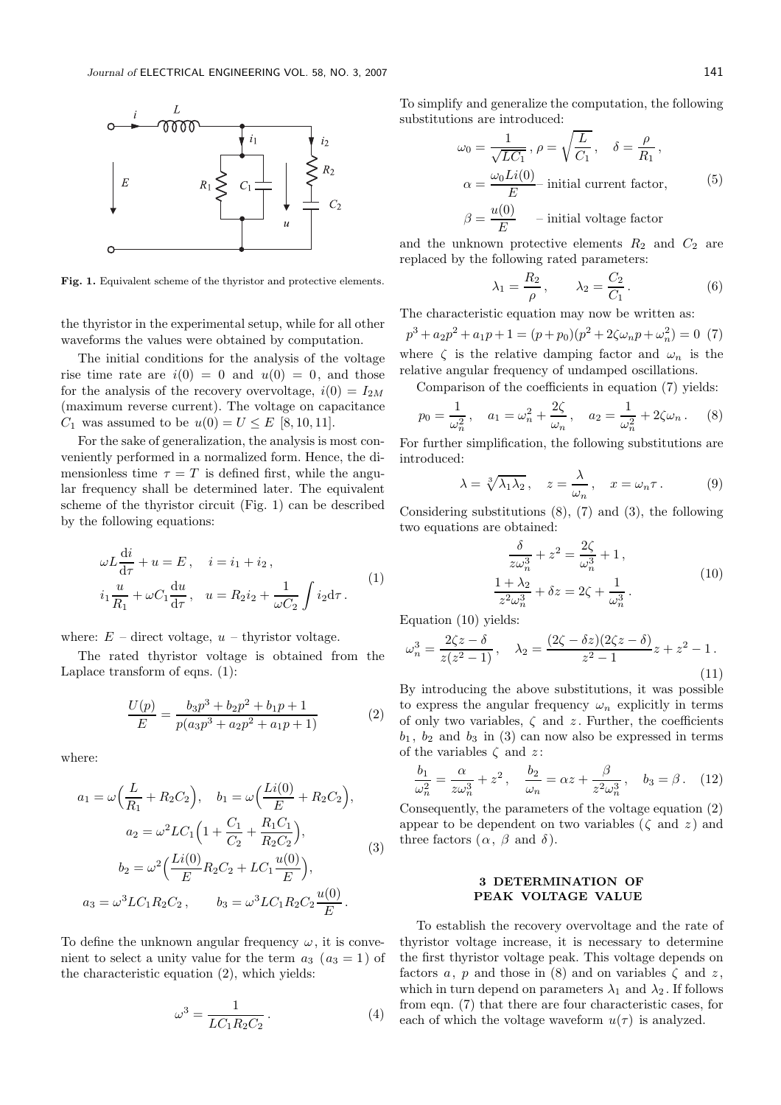

Fig. 1. Equivalent scheme of the thyristor and protective elements.

the thyristor in the experimental setup, while for all other waveforms the values were obtained by computation.

The initial conditions for the analysis of the voltage rise time rate are  $i(0) = 0$  and  $u(0) = 0$ , and those for the analysis of the recovery overvoltage,  $i(0) = I_{2M}$ (maximum reverse current). The voltage on capacitance  $C_1$  was assumed to be  $u(0) = U \le E$  [8, 10, 11].

For the sake of generalization, the analysis is most conveniently performed in a normalized form. Hence, the dimensionless time  $\tau = T$  is defined first, while the angular frequency shall be determined later. The equivalent scheme of the thyristor circuit (Fig. 1) can be described by the following equations:

$$
\omega L \frac{di}{d\tau} + u = E, \quad i = i_1 + i_2,
$$
  

$$
i_1 \frac{u}{R_1} + \omega C_1 \frac{du}{d\tau}, \quad u = R_2 i_2 + \frac{1}{\omega C_2} \int i_2 d\tau.
$$
 (1)

where:  $E$  – direct voltage,  $u$  – thyristor voltage.

The rated thyristor voltage is obtained from the Laplace transform of eqns. (1):

$$
\frac{U(p)}{E} = \frac{b_3 p^3 + b_2 p^2 + b_1 p + 1}{p(a_3 p^3 + a_2 p^2 + a_1 p + 1)}
$$
(2)

where:

$$
a_1 = \omega \Big(\frac{L}{R_1} + R_2 C_2\Big), \quad b_1 = \omega \Big(\frac{Li(0)}{E} + R_2 C_2\Big),
$$

$$
a_2 = \omega^2 LC_1 \Big(1 + \frac{C_1}{C_2} + \frac{R_1 C_1}{R_2 C_2}\Big),
$$

$$
b_2 = \omega^2 \Big(\frac{Li(0)}{E} R_2 C_2 + LC_1 \frac{u(0)}{E}\Big),
$$

$$
a_3 = \omega^3 LC_1 R_2 C_2, \qquad b_3 = \omega^3 LC_1 R_2 C_2 \frac{u(0)}{E}.
$$

$$
(3)
$$

To define the unknown angular frequency  $\omega$ , it is convenient to select a unity value for the term  $a_3$  ( $a_3 = 1$ ) of the characteristic equation (2), which yields:

$$
\omega^3 = \frac{1}{LC_1 R_2 C_2} \,. \tag{4}
$$

To simplify and generalize the computation, the following substitutions are introduced:

$$
\omega_0 = \frac{1}{\sqrt{LC_1}}, \ \rho = \sqrt{\frac{L}{C_1}}, \quad \delta = \frac{\rho}{R_1},
$$

$$
\alpha = \frac{\omega_0 Li(0)}{E} \text{- initial current factor}, \qquad (5)
$$

$$
\beta = \frac{u(0)}{E} \qquad \text{- initial voltage factor}
$$

and the unknown protective elements  $R_2$  and  $C_2$  are replaced by the following rated parameters:

$$
\lambda_1 = \frac{R_2}{\rho}, \qquad \lambda_2 = \frac{C_2}{C_1}.
$$
 (6)

The characteristic equation may now be written as:

 $p^3 + a_2p^2 + a_1p + 1 = (p + p_0)(p^2 + 2\zeta\omega_n p + \omega_n^2)$  $\binom{2}{n} = 0$  (7) where  $\zeta$  is the relative damping factor and  $\omega_n$  is the relative angular frequency of undamped oscillations.

Comparison of the coefficients in equation (7) yields:

$$
p_0 = \frac{1}{\omega_n^2}
$$
,  $a_1 = \omega_n^2 + \frac{2\zeta}{\omega_n}$ ,  $a_2 = \frac{1}{\omega_n^2} + 2\zeta\omega_n$ . (8)

For further simplification, the following substitutions are introduced:

$$
\lambda = \sqrt[3]{\lambda_1 \lambda_2}, \quad z = \frac{\lambda}{\omega_n}, \quad x = \omega_n \tau. \tag{9}
$$

Considering substitutions (8), (7) and (3), the following two equations are obtained:

$$
\frac{\delta}{z\omega_n^3} + z^2 = \frac{2\zeta}{\omega_n^3} + 1,
$$
  

$$
\frac{1 + \lambda_2}{z^2 \omega_n^3} + \delta z = 2\zeta + \frac{1}{\omega_n^3}.
$$
 (10)

Equation (10) yields:

$$
\omega_n^3 = \frac{2\zeta z - \delta}{z(z^2 - 1)}, \quad \lambda_2 = \frac{(2\zeta - \delta z)(2\zeta z - \delta)}{z^2 - 1}z + z^2 - 1.
$$
\n(11)

By introducing the above substitutions, it was possible to express the angular frequency  $\omega_n$  explicitly in terms of only two variables,  $\zeta$  and  $z$ . Further, the coefficients  $b_1$ ,  $b_2$  and  $b_3$  in (3) can now also be expressed in terms of the variables  $\zeta$  and  $z\colon$ 

$$
\frac{b_1}{\omega_n^2} = \frac{\alpha}{z\omega_n^3} + z^2, \quad \frac{b_2}{\omega_n} = \alpha z + \frac{\beta}{z^2\omega_n^3}, \quad b_3 = \beta. \quad (12)
$$

Consequently, the parameters of the voltage equation (2) appear to be dependent on two variables ( $\zeta$  and  $z$ ) and three factors  $(\alpha, \beta \text{ and } \delta)$ .

## 3 DETERMINATION OF PEAK VOLTAGE VALUE

To establish the recovery overvoltage and the rate of thyristor voltage increase, it is necessary to determine the first thyristor voltage peak. This voltage depends on factors a, p and those in (8) and on variables  $\zeta$  and z, which in turn depend on parameters  $\lambda_1$  and  $\lambda_2$ . If follows from eqn. (7) that there are four characteristic cases, for each of which the voltage waveform  $u(\tau)$  is analyzed.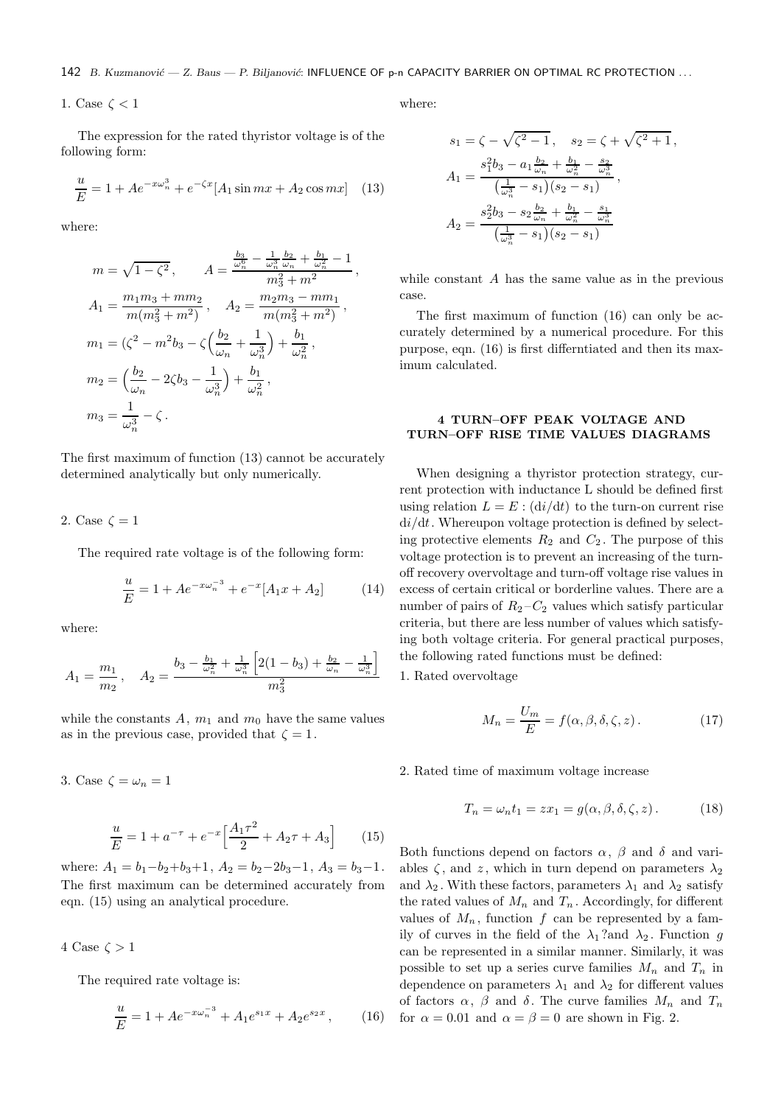142 B. Kuzmanović — Z. Baus — P. Biljanović: INFLUENCE OF p-n CAPACITY BARRIER ON OPTIMAL RC PROTECTION ...

1. Case  $\zeta < 1$ 

The expression for the rated thyristor voltage is of the following form:

$$
\frac{u}{E} = 1 + Ae^{-x\omega_n^3} + e^{-\zeta x} [A_1 \sin mx + A_2 \cos mx] \quad (13)
$$

where:

$$
m = \sqrt{1 - \zeta^2}, \qquad A = \frac{\frac{b_3}{\omega_n^6} - \frac{1}{\omega_n^3} \frac{b_2}{\omega_n} + \frac{b_1}{\omega_n^2} - 1}{m_3^2 + m^2},
$$
  
\n
$$
A_1 = \frac{m_1 m_3 + m m_2}{m(m_3^2 + m^2)}, \qquad A_2 = \frac{m_2 m_3 - m m_1}{m(m_3^2 + m^2)},
$$
  
\n
$$
m_1 = (\zeta^2 - m^2 b_3 - \zeta \left(\frac{b_2}{\omega_n} + \frac{1}{\omega_n^3}\right) + \frac{b_1}{\omega_n^2},
$$
  
\n
$$
m_2 = \left(\frac{b_2}{\omega_n} - 2\zeta b_3 - \frac{1}{\omega_n^3}\right) + \frac{b_1}{\omega_n^2},
$$
  
\n
$$
m_3 = \frac{1}{\omega_n^3} - \zeta.
$$

The first maximum of function (13) cannot be accurately determined analytically but only numerically.

2. Case 
$$
\zeta = 1
$$

The required rate voltage is of the following form:

$$
\frac{u}{E} = 1 + Ae^{-x\omega_n^{-3}} + e^{-x}[A_1x + A_2]
$$
 (14)

where:

$$
A_1 = \frac{m_1}{m_2}, \quad A_2 = \frac{b_3 - \frac{b_1}{\omega_n^2} + \frac{1}{\omega_n^3} \left[2(1 - b_3) + \frac{b_2}{\omega_n} - \frac{1}{\omega_n^3}\right]}{m_3^2}
$$

while the constants  $A, m_1$  and  $m_0$  have the same values as in the previous case, provided that  $\zeta = 1$ .

$$
\frac{u}{E} = 1 + a^{-\tau} + e^{-x} \left[ \frac{A_1 \tau^2}{2} + A_2 \tau + A_3 \right]
$$

where:  $A_1 = b_1 - b_2 + b_3 + 1$ ,  $A_2 = b_2 - 2b_3 - 1$ ,  $A_3 = b_3 - 1$ . The first maximum can be determined accurately from eqn. (15) using an analytical procedure.

4 Case  $\zeta > 1$ 

3. Case  $\zeta = \omega_n = 1$ 

The required rate voltage is:

$$
\frac{u}{E} = 1 + Ae^{-x\omega_n^{-3}} + A_1e^{s_1x} + A_2e^{s_2x},
$$
 (16)

where:

$$
s_1 = \zeta - \sqrt{\zeta^2 - 1}, \quad s_2 = \zeta + \sqrt{\zeta^2 + 1},
$$
  
\n
$$
A_1 = \frac{s_1^2 b_3 - a_1 \frac{b_2}{\omega_n} + \frac{b_1}{\omega_n^2} - \frac{s_2}{\omega_n^3}}{\left(\frac{1}{\omega_n^3} - s_1\right)(s_2 - s_1)},
$$
  
\n
$$
A_2 = \frac{s_2^2 b_3 - s_2 \frac{b_2}{\omega_n} + \frac{b_1}{\omega_n^2} - \frac{s_1}{\omega_n^3}}{\left(\frac{1}{\omega_n^3} - s_1\right)(s_2 - s_1)}
$$

while constant A has the same value as in the previous case.

The first maximum of function (16) can only be accurately determined by a numerical procedure. For this purpose, eqn. (16) is first differntiated and then its maximum calculated.

## 4 TURN–OFF PEAK VOLTAGE AND TURN–OFF RISE TIME VALUES DIAGRAMS

When designing a thyristor protection strategy, current protection with inductance L should be defined first using relation  $L = E : (di/dt)$  to the turn-on current rise  $di/dt$ . Whereupon voltage protection is defined by selecting protective elements  $R_2$  and  $C_2$ . The purpose of this voltage protection is to prevent an increasing of the turnoff recovery overvoltage and turn-off voltage rise values in excess of certain critical or borderline values. There are a number of pairs of  $R_2 - C_2$  values which satisfy particular criteria, but there are less number of values which satisfying both voltage criteria. For general practical purposes, the following rated functions must be defined:

1. Rated overvoltage

(15)

$$
M_n = \frac{U_m}{E} = f(\alpha, \beta, \delta, \zeta, z).
$$
 (17)

2. Rated time of maximum voltage increase

$$
T_n = \omega_n t_1 = z x_1 = g(\alpha, \beta, \delta, \zeta, z).
$$
 (18)

Both functions depend on factors  $\alpha$ ,  $\beta$  and  $\delta$  and variables  $\zeta$ , and z, which in turn depend on parameters  $\lambda_2$ and  $\lambda_2$ . With these factors, parameters  $\lambda_1$  and  $\lambda_2$  satisfy the rated values of  $M_n$  and  $T_n$ . Accordingly, for different values of  $M_n$ , function f can be represented by a family of curves in the field of the  $\lambda_1$ ?and  $\lambda_2$ . Function q can be represented in a similar manner. Similarly, it was possible to set up a series curve families  $M_n$  and  $T_n$  in dependence on parameters  $\lambda_1$  and  $\lambda_2$  for different values of factors  $\alpha$ ,  $\beta$  and  $\delta$ . The curve families  $M_n$  and  $T_n$ for  $\alpha = 0.01$  and  $\alpha = \beta = 0$  are shown in Fig. 2.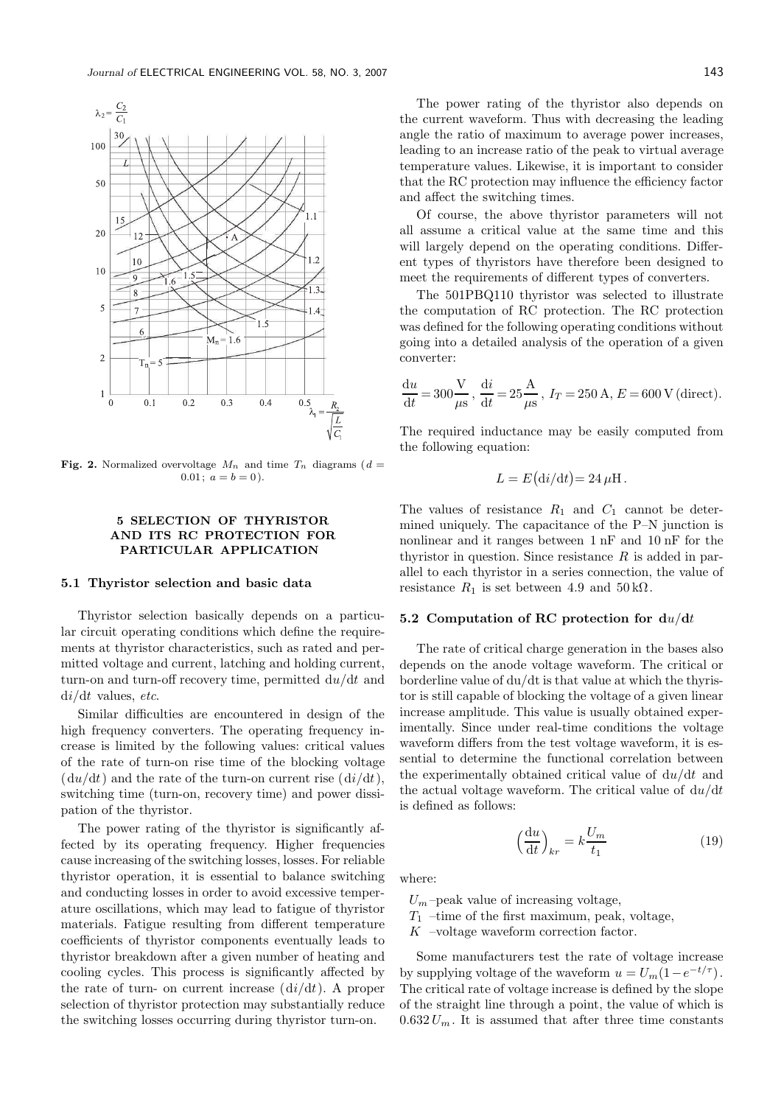

Fig. 2. Normalized overvoltage  $M_n$  and time  $T_n$  diagrams (d =  $0.01; a = b = 0.$ 

## 5 SELECTION OF THYRISTOR AND ITS RC PROTECTION FOR PARTICULAR APPLICATION

#### 5.1 Thyristor selection and basic data

Thyristor selection basically depends on a particular circuit operating conditions which define the requirements at thyristor characteristics, such as rated and permitted voltage and current, latching and holding current, turn-on and turn-off recovery time, permitted  $du/dt$  and  $di/dt$  values, etc.

Similar difficulties are encountered in design of the high frequency converters. The operating frequency increase is limited by the following values: critical values of the rate of turn-on rise time of the blocking voltage  $(du/dt)$  and the rate of the turn-on current rise  $(dt/dt)$ , switching time (turn-on, recovery time) and power dissipation of the thyristor.

The power rating of the thyristor is significantly affected by its operating frequency. Higher frequencies cause increasing of the switching losses, losses. For reliable thyristor operation, it is essential to balance switching and conducting losses in order to avoid excessive temperature oscillations, which may lead to fatigue of thyristor materials. Fatigue resulting from different temperature coefficients of thyristor components eventually leads to thyristor breakdown after a given number of heating and cooling cycles. This process is significantly affected by the rate of turn- on current increase  $(\mathrm{d}i/\mathrm{d}t)$ . A proper selection of thyristor protection may substantially reduce the switching losses occurring during thyristor turn-on.

The power rating of the thyristor also depends on the current waveform. Thus with decreasing the leading angle the ratio of maximum to average power increases, leading to an increase ratio of the peak to virtual average temperature values. Likewise, it is important to consider that the RC protection may influence the efficiency factor and affect the switching times.

Of course, the above thyristor parameters will not all assume a critical value at the same time and this will largely depend on the operating conditions. Different types of thyristors have therefore been designed to meet the requirements of different types of converters.

The 501PBQ110 thyristor was selected to illustrate the computation of RC protection. The RC protection was defined for the following operating conditions without going into a detailed analysis of the operation of a given converter:

$$
\frac{du}{dt} = 300 \frac{V}{\mu s}, \frac{di}{dt} = 25 \frac{A}{\mu s}, I_T = 250 A, E = 600 V (direct).
$$

The required inductance may be easily computed from the following equation:

$$
L = E(\mathrm{d}i/\mathrm{d}t) = 24 \,\mu\mathrm{H}.
$$

The values of resistance  $R_1$  and  $C_1$  cannot be determined uniquely. The capacitance of the P–N junction is nonlinear and it ranges between 1 nF and 10 nF for the thyristor in question. Since resistance  $R$  is added in parallel to each thyristor in a series connection, the value of resistance  $R_1$  is set between 4.9 and 50 k $\Omega$ .

### 5.2 Computation of RC protection for  $du/dt$

The rate of critical charge generation in the bases also depends on the anode voltage waveform. The critical or borderline value of du/dt is that value at which the thyristor is still capable of blocking the voltage of a given linear increase amplitude. This value is usually obtained experimentally. Since under real-time conditions the voltage waveform differs from the test voltage waveform, it is essential to determine the functional correlation between the experimentally obtained critical value of  $du/dt$  and the actual voltage waveform. The critical value of  $du/dt$ is defined as follows:

$$
\left(\frac{\mathrm{d}u}{\mathrm{d}t}\right)_{kr} = k \frac{U_m}{t_1} \tag{19}
$$

where:

 $U_m$ -peak value of increasing voltage,

 $T_1$  –time of the first maximum, peak, voltage,

K –voltage waveform correction factor.

Some manufacturers test the rate of voltage increase by supplying voltage of the waveform  $u = U_m(1 - e^{-t/\tau})$ . The critical rate of voltage increase is defined by the slope of the straight line through a point, the value of which is  $0.632 U_m$ . It is assumed that after three time constants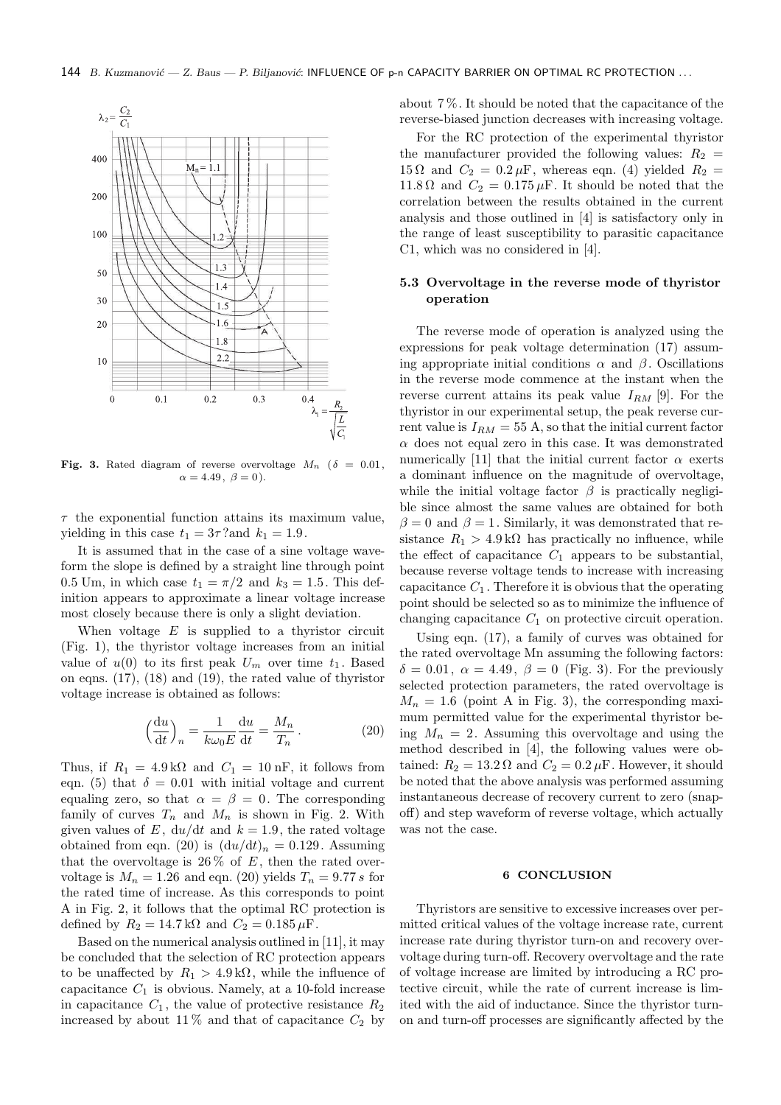

Fig. 3. Rated diagram of reverse overvoltage  $M_n$  ( $\delta = 0.01$ ,  $\alpha = 4.49, \ \beta = 0$ ).

 $\tau$  the exponential function attains its maximum value, yielding in this case  $t_1 = 3\tau$ ? and  $k_1 = 1.9$ .

It is assumed that in the case of a sine voltage waveform the slope is defined by a straight line through point 0.5 Um, in which case  $t_1 = \pi/2$  and  $k_3 = 1.5$ . This definition appears to approximate a linear voltage increase most closely because there is only a slight deviation.

When voltage  $E$  is supplied to a thyristor circuit (Fig. 1), the thyristor voltage increases from an initial value of  $u(0)$  to its first peak  $U_m$  over time  $t_1$ . Based on eqns. (17), (18) and (19), the rated value of thyristor voltage increase is obtained as follows:

$$
\left(\frac{\mathrm{d}u}{\mathrm{d}t}\right)_n = \frac{1}{k\omega_0 E} \frac{\mathrm{d}u}{\mathrm{d}t} = \frac{M_n}{T_n}.
$$
 (20)

Thus, if  $R_1 = 4.9 \text{ k}\Omega$  and  $C_1 = 10 \text{ nF}$ , it follows from eqn. (5) that  $\delta = 0.01$  with initial voltage and current equaling zero, so that  $\alpha = \beta = 0$ . The corresponding family of curves  $T_n$  and  $M_n$  is shown in Fig. 2. With given values of E,  $du/dt$  and  $k = 1.9$ , the rated voltage obtained from eqn. (20) is  $(du/dt)<sub>n</sub> = 0.129$ . Assuming that the overvoltage is  $26\%$  of E, then the rated overvoltage is  $M_n = 1.26$  and eqn. (20) yields  $T_n = 9.77 s$  for the rated time of increase. As this corresponds to point A in Fig. 2, it follows that the optimal RC protection is defined by  $R_2 = 14.7 \text{ k}\Omega$  and  $C_2 = 0.185 \mu\text{F}$ .

Based on the numerical analysis outlined in [11], it may be concluded that the selection of RC protection appears to be unaffected by  $R_1 > 4.9 \,\mathrm{k}\Omega$ , while the influence of capacitance  $C_1$  is obvious. Namely, at a 10-fold increase in capacitance  $C_1$ , the value of protective resistance  $R_2$ increased by about 11% and that of capacitance  $C_2$  by

about 7 %. It should be noted that the capacitance of the reverse-biased junction decreases with increasing voltage.

For the RC protection of the experimental thyristor the manufacturer provided the following values:  $R_2$  = 15  $\Omega$  and  $C_2 = 0.2 \mu$ F, whereas eqn. (4) yielded  $R_2 =$ 11.8  $\Omega$  and  $C_2 = 0.175 \,\mu\text{F}$ . It should be noted that the correlation between the results obtained in the current analysis and those outlined in [4] is satisfactory only in the range of least susceptibility to parasitic capacitance C1, which was no considered in [4].

## 5.3 Overvoltage in the reverse mode of thyristor operation

The reverse mode of operation is analyzed using the expressions for peak voltage determination (17) assuming appropriate initial conditions  $\alpha$  and  $\beta$ . Oscillations in the reverse mode commence at the instant when the reverse current attains its peak value  $I_{RM}$  [9]. For the thyristor in our experimental setup, the peak reverse current value is  $I_{RM} = 55$  A, so that the initial current factor  $\alpha$  does not equal zero in this case. It was demonstrated numerically [11] that the initial current factor  $\alpha$  exerts a dominant influence on the magnitude of overvoltage, while the initial voltage factor  $\beta$  is practically negligible since almost the same values are obtained for both  $\beta = 0$  and  $\beta = 1$ . Similarly, it was demonstrated that resistance  $R_1 > 4.9 \text{ k}\Omega$  has practically no influence, while the effect of capacitance  $C_1$  appears to be substantial, because reverse voltage tends to increase with increasing capacitance  $C_1$ . Therefore it is obvious that the operating point should be selected so as to minimize the influence of changing capacitance  $C_1$  on protective circuit operation.

Using eqn. (17), a family of curves was obtained for the rated overvoltage Mn assuming the following factors:  $\delta = 0.01$ ,  $\alpha = 4.49$ ,  $\beta = 0$  (Fig. 3). For the previously selected protection parameters, the rated overvoltage is  $M_n = 1.6$  (point A in Fig. 3), the corresponding maximum permitted value for the experimental thyristor being  $M_n = 2$ . Assuming this overvoltage and using the method described in [4], the following values were obtained:  $R_2 = 13.2 \Omega$  and  $C_2 = 0.2 \mu$ F. However, it should be noted that the above analysis was performed assuming instantaneous decrease of recovery current to zero (snapoff) and step waveform of reverse voltage, which actually was not the case.

#### 6 CONCLUSION

Thyristors are sensitive to excessive increases over permitted critical values of the voltage increase rate, current increase rate during thyristor turn-on and recovery overvoltage during turn-off. Recovery overvoltage and the rate of voltage increase are limited by introducing a RC protective circuit, while the rate of current increase is limited with the aid of inductance. Since the thyristor turnon and turn-off processes are significantly affected by the